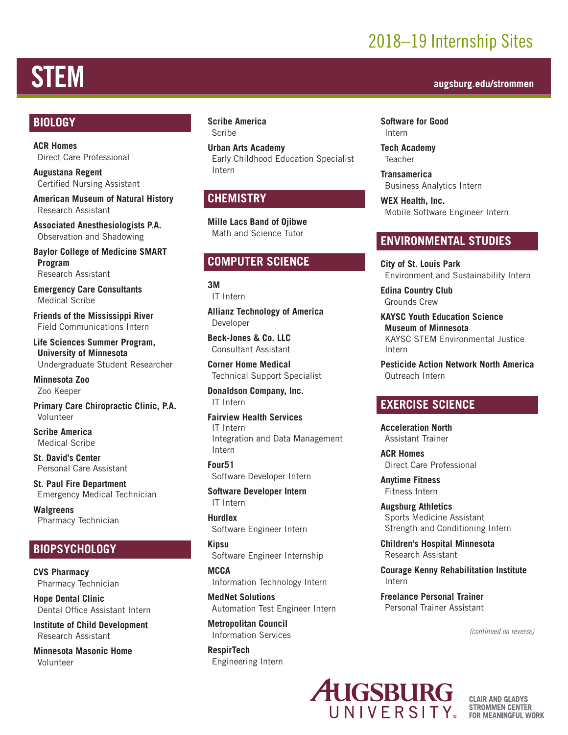## 2018–19 Internship Sites

# STEM **augsburg.edu/strommen**

### **BIOLOGY**

**ACR Homes** Direct Care Professional

**Augustana Regent** Certified Nursing Assistant

**American Museum of Natural History** Research Assistant

**Associated Anesthesiologists P.A.** Observation and Shadowing

**Baylor College of Medicine SMART Program** Research Assistant

**Emergency Care Consultants** Medical Scribe

**Friends of the Mississippi River** Field Communications Intern

**Life Sciences Summer Program, University of Minnesota** Undergraduate Student Researcher

**Minnesota Zoo** Zoo Keeper

**Primary Care Chiropractic Clinic, P.A.** Volunteer

**Scribe America** Medical Scribe

**St. David's Center** Personal Care Assistant

**St. Paul Fire Department** Emergency Medical Technician

**Walgreens** Pharmacy Technician

### **BIOPSYCHOLOGY**

**CVS Pharmacy** Pharmacy Technician

**Hope Dental Clinic** Dental Office Assistant Intern

**Institute of Child Development** Research Assistant

**Minnesota Masonic Home** Volunteer

### **Scribe America** Scribe

**Urban Arts Academy** Early Childhood Education Specialist Intern

### **CHEMISTRY**

**Mille Lacs Band of Ojibwe** Math and Science Tutor

### **COMPUTER SCIENCE**

**3M** IT Intern

**Allianz Technology of America** Developer

**Beck-Jones & Co. LLC** Consultant Assistant

**Corner Home Medical** Technical Support Specialist

**Donaldson Company, Inc.** IT Intern

**Fairview Health Services** IT Intern Integration and Data Management Intern

**Four51** Software Developer Intern

**Software Developer Intern** IT Intern

**Hurdlex** Software Engineer Intern

**Kipsu** Software Engineer Internship

**MCCA** Information Technology Intern

**MedNet Solutions** Automation Test Engineer Intern

**Metropolitan Council** Information Services

**RespirTech** Engineering Intern

**Software for Good** Intern

**Tech Academy** Teacher

**Transamerica** Business Analytics Intern

**WEX Health, Inc.** Mobile Software Engineer Intern

### **ENVIRONMENTAL STUDIES**

**City of St. Louis Park** Environment and Sustainability Intern

**Edina Country Club** Grounds Crew

**KAYSC Youth Education Science Museum of Minnesota** KAYSC STEM Environmental Justice Intern

**Pesticide Action Network North America** Outreach Intern

### **EXERCISE SCIENCE**

**Acceleration North** Assistant Trainer

**ACR Homes** Direct Care Professional

**Anytime Fitness** Fitness Intern

**Augsburg Athletics** Sports Medicine Assistant Strength and Conditioning Intern

**Children's Hospital Minnesota** Research Assistant

**Courage Kenny Rehabilitation Institute**  Intern

**Freelance Personal Trainer** Personal Trainer Assistant

*(continued on reverse)*



**CLAIR AND GLADYS STROMMEN CENTER FOR MEANINGFUL WORK**